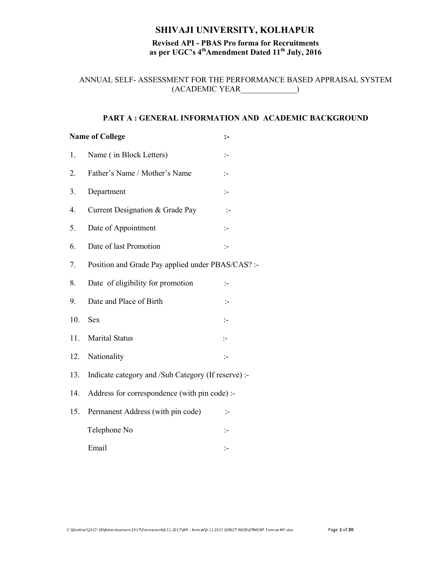# SHIVAJI UNIVERSITY, KOLHAPUR

# Revised API - PBAS Pro forma for Recruitments as per UGC's  $4<sup>th</sup>$ Amendment Dated  $11<sup>th</sup>$  July, 2016

ANNUAL SELF- ASSESSMENT FOR THE PERFORMANCE BASED APPRAISAL SYSTEM (ACADEMIC YEAR\_\_\_\_\_\_\_\_\_\_\_\_\_\_)

## PART A : GENERAL INFORMATION AND ACADEMIC BACKGROUND

|     | <b>Name of College</b>                              | :-                   |
|-----|-----------------------------------------------------|----------------------|
| 1.  | Name (in Block Letters)                             | $\mathbb{I}$         |
| 2.  | Father's Name / Mother's Name                       | ÷:                   |
| 3.  | Department                                          | ÷.                   |
| 4.  | Current Designation & Grade Pay                     | $\mathbb{I}^-$       |
| 5.  | Date of Appointment                                 | $\mathbb{I}$         |
| 6.  | Date of last Promotion                              | $\mathbb{R}^2$       |
| 7.  | Position and Grade Pay applied under PBAS/CAS? :-   |                      |
| 8.  | Date of eligibility for promotion                   | :−                   |
| 9.  | Date and Place of Birth                             | $\mathbb{I}$         |
| 10. | <b>Sex</b>                                          | ÷:                   |
| 11. | <b>Marital Status</b>                               | $\mathbb{I}$         |
| 12. | Nationality                                         | $\ddot{\phantom{1}}$ |
| 13. | Indicate category and /Sub Category (If reserve) :- |                      |
| 14. | Address for correspondence (with pin code) :-       |                      |
| 15. | Permanent Address (with pin code)                   | $\mathbb{I}$         |
|     | Telephone No                                        | ÷.                   |
|     | Email                                               | :-                   |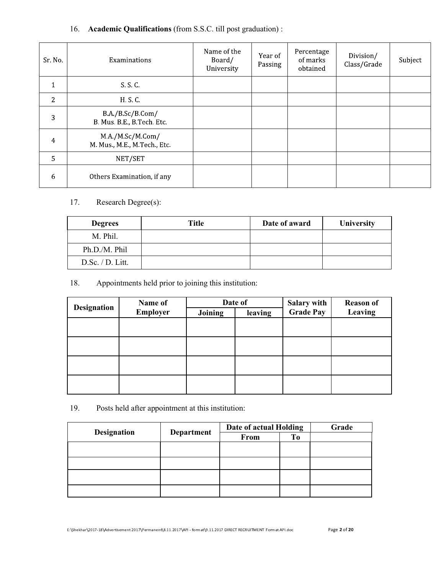# 16. Academic Qualifications (from S.S.C. till post graduation) :

| Sr No          | Examinations                                      | Name of the<br>Board/<br>University | Year of<br>Passing | Percentage<br>of marks<br>obtained | Division/<br>Class/Grade | Subject |
|----------------|---------------------------------------------------|-------------------------------------|--------------------|------------------------------------|--------------------------|---------|
| $\mathbf{1}$   | SSC                                               |                                     |                    |                                    |                          |         |
| 2              | H S C                                             |                                     |                    |                                    |                          |         |
| 3              | B.A./B.Sc/B.Com/<br>B. Mus. B.E., B. Tech. Etc.   |                                     |                    |                                    |                          |         |
| $\overline{4}$ | M.A /M.Sc/M.Com/<br>M. Mus., M.E., M. Tech., Etc. |                                     |                    |                                    |                          |         |
| 5              | NET/SET                                           |                                     |                    |                                    |                          |         |
| 6              | Others Examination, if any                        |                                     |                    |                                    |                          |         |

# 17. Research Degree(s):

| <b>Degrees</b>   | Title | Date of award | University |
|------------------|-------|---------------|------------|
| M. Phil.         |       |               |            |
| Ph.D./M. Phil    |       |               |            |
| D.Sc. / D. Litt. |       |               |            |

# 18. Appointments held prior to joining this institution:

| <b>Designation</b> | Name of         |         | Date of | Salary with      | <b>Reason of</b> |
|--------------------|-----------------|---------|---------|------------------|------------------|
|                    | <b>Employer</b> | Joining | leaving | <b>Grade Pay</b> | Leaving          |
|                    |                 |         |         |                  |                  |
|                    |                 |         |         |                  |                  |
|                    |                 |         |         |                  |                  |
|                    |                 |         |         |                  |                  |
|                    |                 |         |         |                  |                  |
|                    |                 |         |         |                  |                  |
|                    |                 |         |         |                  |                  |
|                    |                 |         |         |                  |                  |

# 19. Posts held after appointment at this institution:

| <b>Designation</b> |            | Date of actual Holding | Grade     |  |
|--------------------|------------|------------------------|-----------|--|
|                    | Department | From                   | <b>To</b> |  |
|                    |            |                        |           |  |
|                    |            |                        |           |  |
|                    |            |                        |           |  |
|                    |            |                        |           |  |
|                    |            |                        |           |  |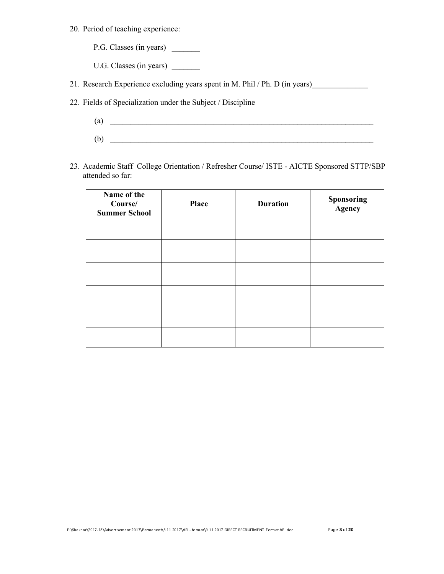- 20. Period of teaching experience:
	- P.G. Classes (in years) \_\_\_\_\_\_\_\_\_
	- U.G. Classes (in years) \_\_\_\_\_\_\_
- 21. Research Experience excluding years spent in M. Phil / Ph. D (in years)
- 22. Fields of Specialization under the Subject / Discipline
	- (a)  $\overline{\phantom{a}}$  $(b)$
- 23. Academic Staff College Orientation / Refresher Course/ ISTE AICTE Sponsored STTP/SBP attended so far:

| Name of the<br>Course/<br><b>Summer School</b> | <b>Place</b> | <b>Duration</b> | <b>Sponsoring</b><br><b>Agency</b> |
|------------------------------------------------|--------------|-----------------|------------------------------------|
|                                                |              |                 |                                    |
|                                                |              |                 |                                    |
|                                                |              |                 |                                    |
|                                                |              |                 |                                    |
|                                                |              |                 |                                    |
|                                                |              |                 |                                    |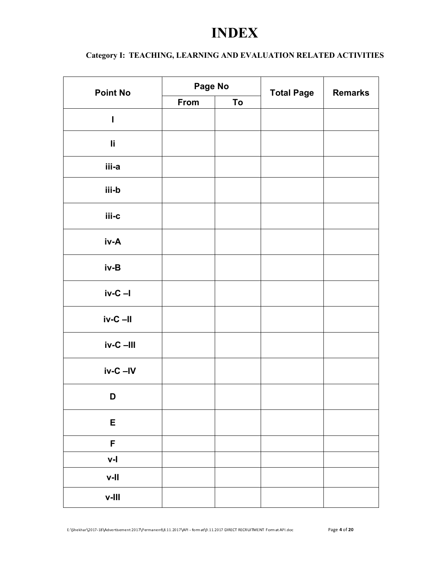# INDEX

# Category I: TEACHING, LEARNING AND EVALUATION RELATED ACTIVITIES

| <b>Point No</b> |      | Page No | <b>Total Page</b> | <b>Remarks</b> |
|-----------------|------|---------|-------------------|----------------|
|                 | From | To      |                   |                |
| I               |      |         |                   |                |
| li.             |      |         |                   |                |
| iii-a           |      |         |                   |                |
| iii-b           |      |         |                   |                |
| iii-c           |      |         |                   |                |
| iv-A            |      |         |                   |                |
| iv-B            |      |         |                   |                |
| $iv-C - I$      |      |         |                   |                |
| $iv-C$ $-II$    |      |         |                   |                |
| $iv-C$ -III     |      |         |                   |                |
| $iv-C -IV$      |      |         |                   |                |
| D               |      |         |                   |                |
| E               |      |         |                   |                |
| F               |      |         |                   |                |
| $V-I$           |      |         |                   |                |
| $V-I$           |      |         |                   |                |
| $V$ - $III$     |      |         |                   |                |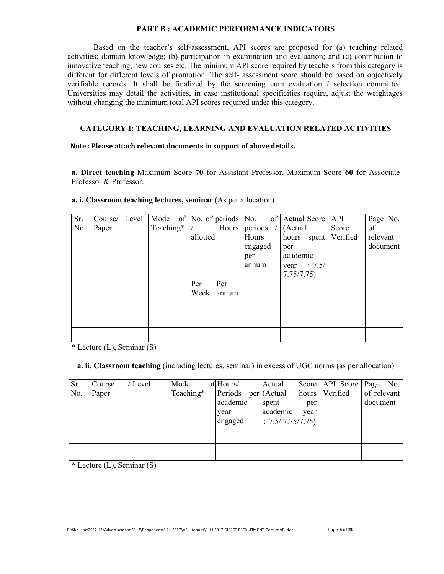#### PART B : ACADEMIC PERFORMANCE INDICATORS

Based on the teacher's self-assessment, API scores are proposed for (a) teaching related activities; domain knowledge; (b) participation in examination and evaluation; and (c) contribution to innovative teaching, new courses etc. The minimum API score required by teachers from this category is different for different levels of promotion. The self- assessment score should be based on objectively verifiable records. It shall be finalized by the screening cum evaluation / selection committee. Universities may detail the activities, in case institutional specificities require, adjust the weightages without changing the minimum total API scores required under this category.

#### CATEGORY I: TEACHING, LEARNING AND EVALUATION RELATED ACTIVITIES

#### Note : Please attach relevant documents in support of above details.

a. Direct teaching Maximum Score 70 for Assistant Professor, Maximum Score 60 for Associate Professor & Professor.

| Sr. | Course/ | Level |           |          |       | Mode of No. of periods No. of Actual Score API |                  |                        | Page No. |
|-----|---------|-------|-----------|----------|-------|------------------------------------------------|------------------|------------------------|----------|
| No. | Paper   |       | Teaching* |          | Hours | periods $/$ (Actual                            |                  | Score                  | of       |
|     |         |       |           | allotted |       | Hours                                          |                  | hours spent   Verified | relevant |
|     |         |       |           |          |       | engaged                                        | per              |                        | document |
|     |         |       |           |          |       | per                                            | academic         |                        |          |
|     |         |       |           |          |       | annum                                          | year $\div 7.5/$ |                        |          |
|     |         |       |           |          |       |                                                | 7.75/7.75)       |                        |          |
|     |         |       |           | Per      | Per   |                                                |                  |                        |          |
|     |         |       |           | Week     | annum |                                                |                  |                        |          |
|     |         |       |           |          |       |                                                |                  |                        |          |
|     |         |       |           |          |       |                                                |                  |                        |          |
|     |         |       |           |          |       |                                                |                  |                        |          |
|     |         |       |           |          |       |                                                |                  |                        |          |
|     |         |       |           |          |       |                                                |                  |                        |          |

## a. i. Classroom teaching lectures, seminar (As per allocation)

\* Lecture (L), Seminar (S)

#### a. ii. Classroom teaching (including lectures, seminar) in excess of UGC norms (as per allocation)

| Sr. | Course | /Level | Mode      | of Hours/                          | Actual                 |      | Score   API Score   Page No. |             |
|-----|--------|--------|-----------|------------------------------------|------------------------|------|------------------------------|-------------|
| No. | Paper  |        | Teaching* | Periods per (Actual hours Verified |                        |      |                              | of relevant |
|     |        |        |           | academic                           | spent                  | per  |                              | document    |
|     |        |        |           | year                               | academic               | year |                              |             |
|     |        |        |           | engaged                            | $\div$ 7.5/ 7.75/7.75) |      |                              |             |
|     |        |        |           |                                    |                        |      |                              |             |
|     |        |        |           |                                    |                        |      |                              |             |
|     |        |        |           |                                    |                        |      |                              |             |
|     |        |        |           |                                    |                        |      |                              |             |

\* Lecture (L), Seminar (S)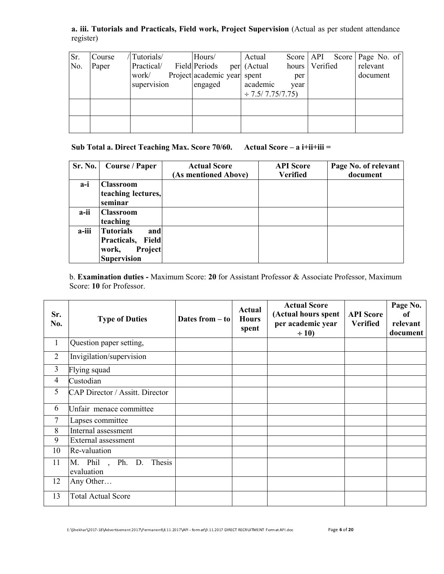a. iii. Tutorials and Practicals, Field work, Project Supervision (Actual as per student attendance register)

| Sr.<br>No. | Course<br>Paper | Tutorials/<br>Practical/<br>work/<br>supervision | Hours/<br><b>Field Periods</b><br>Project academic year spent<br>engaged | Actual<br>per (Actual<br>academic<br>$\div$ 7.5/ 7.75/7.75) | Score   API<br>per<br>year | hours Verified | Score   Page No. of<br>relevant<br>document |
|------------|-----------------|--------------------------------------------------|--------------------------------------------------------------------------|-------------------------------------------------------------|----------------------------|----------------|---------------------------------------------|
|            |                 |                                                  |                                                                          |                                                             |                            |                |                                             |

Sub Total a. Direct Teaching Max. Score 70/60. Actual Score – a i+ii+iii =

| Sr. No. | <b>Course / Paper</b>                                                                     | <b>Actual Score</b><br>(As mentioned Above) | <b>API</b> Score<br><b>Verified</b> | Page No. of relevant<br>document |
|---------|-------------------------------------------------------------------------------------------|---------------------------------------------|-------------------------------------|----------------------------------|
| $a-i$   | <b>Classroom</b><br>teaching lectures,<br>seminar                                         |                                             |                                     |                                  |
| a-ii    | <b>Classroom</b><br>teaching                                                              |                                             |                                     |                                  |
| a-iii   | <b>Tutorials</b><br>and<br>Practicals,<br>Field<br>Project<br>work,<br><b>Supervision</b> |                                             |                                     |                                  |

b. Examination duties - Maximum Score: 20 for Assistant Professor & Associate Professor, Maximum Score: 10 for Professor.

| Sr.<br>No.     | <b>Type of Duties</b>                  | Dates from $-$ to | Actual<br><b>Hours</b><br>spent | <b>Actual Score</b><br>(Actual hours spent<br>per academic year<br>$\div 10$ | <b>API</b> Score<br><b>Verified</b> | Page No.<br><sub>of</sub><br>relevant<br>document |
|----------------|----------------------------------------|-------------------|---------------------------------|------------------------------------------------------------------------------|-------------------------------------|---------------------------------------------------|
| $\mathbf{1}$   | Question paper setting,                |                   |                                 |                                                                              |                                     |                                                   |
| $\overline{2}$ | Invigilation/supervision               |                   |                                 |                                                                              |                                     |                                                   |
| $\overline{3}$ | Flying squad                           |                   |                                 |                                                                              |                                     |                                                   |
| $\overline{4}$ | Custodian                              |                   |                                 |                                                                              |                                     |                                                   |
| 5              | <b>CAP Director / Assitt. Director</b> |                   |                                 |                                                                              |                                     |                                                   |
| 6              | Unfair menace committee                |                   |                                 |                                                                              |                                     |                                                   |
| $\tau$         | Lapses committee                       |                   |                                 |                                                                              |                                     |                                                   |
| 8              | Internal assessment                    |                   |                                 |                                                                              |                                     |                                                   |
| 9              | External assessment                    |                   |                                 |                                                                              |                                     |                                                   |
| 10             | Re-valuation                           |                   |                                 |                                                                              |                                     |                                                   |
| 11             | M. Phil, Ph. D. Thesis<br>evaluation   |                   |                                 |                                                                              |                                     |                                                   |
| 12             | Any Other                              |                   |                                 |                                                                              |                                     |                                                   |
| 13             | <b>Total Actual Score</b>              |                   |                                 |                                                                              |                                     |                                                   |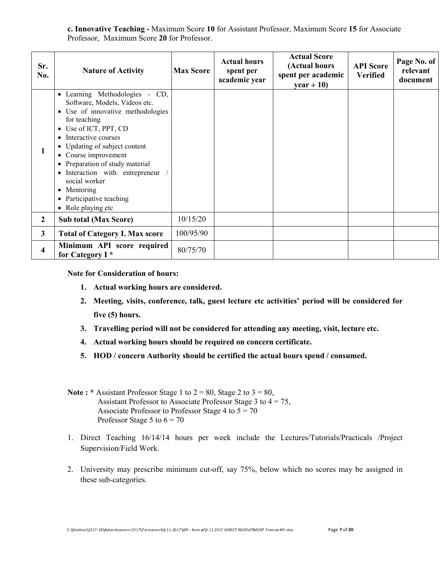c. Innovative Teaching - Maximum Score 10 for Assistant Professor, Maximum Score 15 for Associate Professor, Maximum Score 20 for Professor.

| Sr.<br>No.   | <b>Nature of Activity</b>                                                                                                                                                                                                                                                                                                                                                                                 | <b>Max Score</b> | <b>Actual hours</b><br>spent per<br>academic year | <b>Actual Score</b><br>(Actual hours<br>spent per academic<br>year $\div$ 10) | <b>API</b> Score<br><b>Verified</b> | Page No. of<br>relevant<br>document |
|--------------|-----------------------------------------------------------------------------------------------------------------------------------------------------------------------------------------------------------------------------------------------------------------------------------------------------------------------------------------------------------------------------------------------------------|------------------|---------------------------------------------------|-------------------------------------------------------------------------------|-------------------------------------|-------------------------------------|
| 1            | • Learning Methodologies - CD,<br>Software, Models, Videos etc.<br>• Use of innovative methodologies<br>for teaching<br>• Use of ICT, PPT, CD<br>Interactive courses<br>• Updating of subject content<br>Course improvement<br>٠<br>Preparation of study material<br>٠<br>Interaction with entrepreneur<br>$\bullet$<br>social worker<br>• Mentoring<br>Participative teaching<br>٠<br>• Role playing etc |                  |                                                   |                                                                               |                                     |                                     |
| $\mathbf{2}$ | <b>Sub total (Max Score)</b>                                                                                                                                                                                                                                                                                                                                                                              | 10/15/20         |                                                   |                                                                               |                                     |                                     |
| $\mathbf{3}$ | <b>Total of Category I. Max score</b>                                                                                                                                                                                                                                                                                                                                                                     | 100/95/90        |                                                   |                                                                               |                                     |                                     |
| 4            | Minimum API score required<br>for Category I <sup>*</sup>                                                                                                                                                                                                                                                                                                                                                 | 80/75/70         |                                                   |                                                                               |                                     |                                     |

Note for Consideration of hours:

- 1. Actual working hours are considered.
- 2. Meeting, visits, conference, talk, guest lecture etc activities' period will be considered for five (5) hours.
- 3. Travelling period will not be considered for attending any meeting, visit, lecture etc.
- 4. Actual working hours should be required on concern certificate.
- 5. HOD / concern Authority should be certified the actual hours spend / consumed.
- Note: \* Assistant Professor Stage 1 to  $2 = 80$ , Stage 2 to  $3 = 80$ , Assistant Professor to Associate Professor Stage 3 to  $4 = 75$ , Associate Professor to Professor Stage 4 to  $5 = 70$ Professor Stage 5 to  $6 = 70$
- 1. Direct Teaching 16/14/14 hours per week include the Lectures/Tutorials/Practicals /Project Supervision/Field Work.
- 2. University may prescribe minimum cut-off, say 75%, below which no scores may be assigned in these sub-categories.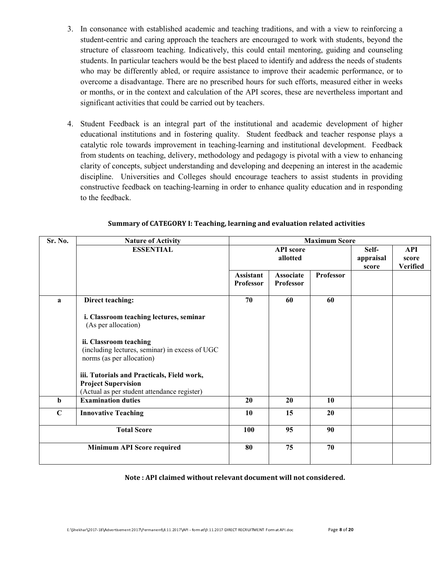- 3. In consonance with established academic and teaching traditions, and with a view to reinforcing a student-centric and caring approach the teachers are encouraged to work with students, beyond the structure of classroom teaching. Indicatively, this could entail mentoring, guiding and counseling students. In particular teachers would be the best placed to identify and address the needs of students who may be differently abled, or require assistance to improve their academic performance, or to overcome a disadvantage. There are no prescribed hours for such efforts, measured either in weeks or months, or in the context and calculation of the API scores, these are nevertheless important and significant activities that could be carried out by teachers.
- 4. Student Feedback is an integral part of the institutional and academic development of higher educational institutions and in fostering quality. Student feedback and teacher response plays a catalytic role towards improvement in teaching-learning and institutional development. Feedback from students on teaching, delivery, methodology and pedagogy is pivotal with a view to enhancing clarity of concepts, subject understanding and developing and deepening an interest in the academic discipline. Universities and Colleges should encourage teachers to assist students in providing constructive feedback on teaching-learning in order to enhance quality education and in responding to the feedback.

| Sr. No.            | <b>Nature of Activity</b>                                      | <b>Maximum Score</b> |                  |                  |           |                 |  |  |
|--------------------|----------------------------------------------------------------|----------------------|------------------|------------------|-----------|-----------------|--|--|
|                    | <b>ESSENTIAL</b>                                               |                      | <b>API</b> score |                  | Self-     | API             |  |  |
|                    |                                                                |                      | allotted         |                  | appraisal | score           |  |  |
|                    |                                                                |                      |                  |                  | score     | <b>Verified</b> |  |  |
|                    |                                                                | Assistant            | <b>Associate</b> | <b>Professor</b> |           |                 |  |  |
|                    |                                                                | Professor            | Professor        |                  |           |                 |  |  |
| a                  | Direct teaching:                                               | 70                   | 60               | 60               |           |                 |  |  |
|                    | i. Classroom teaching lectures, seminar<br>(As per allocation) |                      |                  |                  |           |                 |  |  |
|                    | ii. Classroom teaching                                         |                      |                  |                  |           |                 |  |  |
|                    | (including lectures, seminar) in excess of UGC                 |                      |                  |                  |           |                 |  |  |
|                    | norms (as per allocation)                                      |                      |                  |                  |           |                 |  |  |
|                    |                                                                |                      |                  |                  |           |                 |  |  |
|                    | iii. Tutorials and Practicals, Field work,                     |                      |                  |                  |           |                 |  |  |
|                    | <b>Project Supervision</b>                                     |                      |                  |                  |           |                 |  |  |
|                    | (Actual as per student attendance register)                    |                      |                  |                  |           |                 |  |  |
| $\mathbf b$        | <b>Examination duties</b>                                      | 20                   | 20               | 10               |           |                 |  |  |
| $\mathbf C$        | <b>Innovative Teaching</b>                                     | 10                   | 15               | 20               |           |                 |  |  |
| <b>Total Score</b> |                                                                | 100                  | 95               | 90               |           |                 |  |  |
|                    | <b>Minimum API Score required</b>                              | 80                   | 75               | 70               |           |                 |  |  |
|                    |                                                                |                      |                  |                  |           |                 |  |  |

#### Summary of CATEGORY I: Teaching, learning and evaluation related activities

Note : API claimed without relevant document will not considered.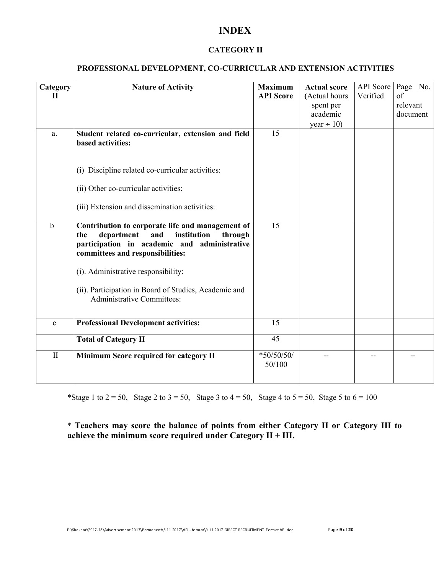# INDEX

# CATEGORY II

# PROFESSIONAL DEVELOPMENT, CO-CURRICULAR AND EXTENSION ACTIVITIES

| Category<br>$\mathbf H$ | <b>Nature of Activity</b>                                                                                                                                                                  | <b>Maximum</b><br><b>API</b> Score | <b>Actual score</b><br>(Actual hours<br>spent per<br>academic<br>year $\div$ 10) | <b>API</b> Score<br>Verified | Page No.<br>of<br>relevant<br>document |
|-------------------------|--------------------------------------------------------------------------------------------------------------------------------------------------------------------------------------------|------------------------------------|----------------------------------------------------------------------------------|------------------------------|----------------------------------------|
| a.                      | Student related co-curricular, extension and field<br>based activities:                                                                                                                    | 15                                 |                                                                                  |                              |                                        |
|                         | (i) Discipline related co-curricular activities:                                                                                                                                           |                                    |                                                                                  |                              |                                        |
|                         | (ii) Other co-curricular activities:                                                                                                                                                       |                                    |                                                                                  |                              |                                        |
|                         | (iii) Extension and dissemination activities:                                                                                                                                              |                                    |                                                                                  |                              |                                        |
| b                       | Contribution to corporate life and management of<br>institution<br>department<br>and<br>through<br>the<br>participation in academic and administrative<br>committees and responsibilities: | 15                                 |                                                                                  |                              |                                        |
|                         | (i). Administrative responsibility:                                                                                                                                                        |                                    |                                                                                  |                              |                                        |
|                         | (ii). Participation in Board of Studies, Academic and<br><b>Administrative Committees:</b>                                                                                                 |                                    |                                                                                  |                              |                                        |
| $\mathbf{c}$            | <b>Professional Development activities:</b>                                                                                                                                                | 15                                 |                                                                                  |                              |                                        |
|                         | <b>Total of Category II</b>                                                                                                                                                                | 45                                 |                                                                                  |                              |                                        |
| $\mathbf{I}$            | Minimum Score required for category II                                                                                                                                                     | $*50/50/50/$<br>50/100             | $-$                                                                              | --                           |                                        |

\*Stage 1 to  $2 = 50$ , Stage 2 to  $3 = 50$ , Stage 3 to  $4 = 50$ , Stage 4 to  $5 = 50$ , Stage 5 to  $6 = 100$ 

\* Teachers may score the balance of points from either Category II or Category III to achieve the minimum score required under Category  $II + III$ .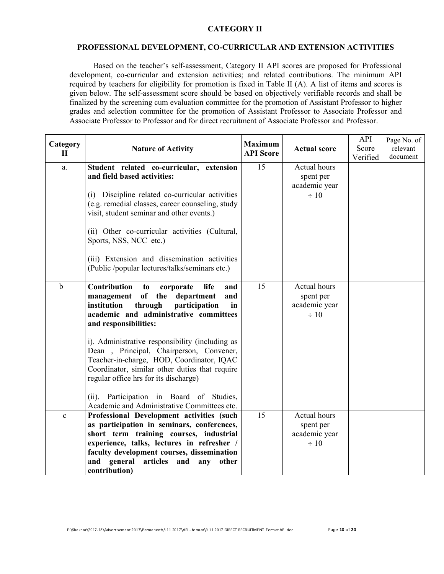## CATEGORY II

### PROFESSIONAL DEVELOPMENT, CO-CURRICULAR AND EXTENSION ACTIVITIES

Based on the teacher's self-assessment, Category II API scores are proposed for Professional development, co-curricular and extension activities; and related contributions. The minimum API required by teachers for eligibility for promotion is fixed in Table II (A). A list of items and scores is given below. The self-assessment score should be based on objectively verifiable records and shall be finalized by the screening cum evaluation committee for the promotion of Assistant Professor to higher grades and selection committee for the promotion of Assistant Professor to Associate Professor and Associate Professor to Professor and for direct recruitment of Associate Professor and Professor.

| Category<br>$\mathbf H$ | <b>Nature of Activity</b>                                                                                                                                                                                                                                                                                                                                                                                                                                                                                                                           | <b>Maximum</b><br><b>API</b> Score | <b>Actual score</b>                                     | API<br>Score<br>Verified | Page No. of<br>relevant<br>document |
|-------------------------|-----------------------------------------------------------------------------------------------------------------------------------------------------------------------------------------------------------------------------------------------------------------------------------------------------------------------------------------------------------------------------------------------------------------------------------------------------------------------------------------------------------------------------------------------------|------------------------------------|---------------------------------------------------------|--------------------------|-------------------------------------|
| a.                      | Student related co-curricular, extension<br>and field based activities:<br>(i) Discipline related co-curricular activities<br>(e.g. remedial classes, career counseling, study<br>visit, student seminar and other events.)<br>(ii) Other co-curricular activities (Cultural,<br>Sports, NSS, NCC etc.)<br>(iii) Extension and dissemination activities<br>(Public /popular lectures/talks/seminars etc.)                                                                                                                                           | 15                                 | Actual hours<br>spent per<br>academic year<br>$\div 10$ |                          |                                     |
| $\mathbf b$             | Contribution<br>life<br>and<br>to<br>corporate<br>of the<br>management<br>department<br>and<br>participation<br>institution<br>through<br>in<br>academic and administrative committees<br>and responsibilities:<br>i). Administrative responsibility (including as<br>Dean, Principal, Chairperson, Convener,<br>Teacher-in-charge, HOD, Coordinator, IQAC<br>Coordinator, similar other duties that require<br>regular office hrs for its discharge)<br>Participation in Board of Studies,<br>(ii).<br>Academic and Administrative Committees etc. | 15                                 | Actual hours<br>spent per<br>academic year<br>$\div 10$ |                          |                                     |
| $\mathbf c$             | Professional Development activities (such<br>as participation in seminars, conferences,<br>short term training courses, industrial<br>experience, talks, lectures in refresher /<br>faculty development courses, dissemination<br>and general articles<br>and<br>other<br>any<br>contribution)                                                                                                                                                                                                                                                      | 15                                 | Actual hours<br>spent per<br>academic year<br>$\div 10$ |                          |                                     |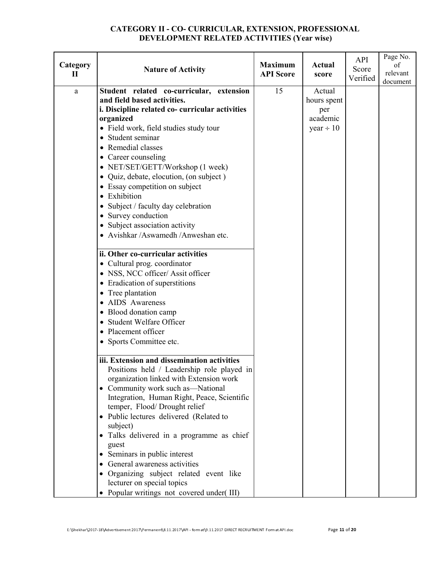# CATEGORY II - CO- CURRICULAR, EXTENSION, PROFESSIONAL DEVELOPMENT RELATED ACTIVITIES (Year wise)

| Category<br>$\mathbf{I}$ | <b>Nature of Activity</b>                                                                                                                                                                                                                                                                                                                                                                                                                                                                                                                                                                                                                                                                                        | <b>Maximum</b><br><b>API</b> Score | <b>Actual</b><br>score                                     | API<br>Score<br>Verified | Page No.<br>of<br>relevant<br>document |
|--------------------------|------------------------------------------------------------------------------------------------------------------------------------------------------------------------------------------------------------------------------------------------------------------------------------------------------------------------------------------------------------------------------------------------------------------------------------------------------------------------------------------------------------------------------------------------------------------------------------------------------------------------------------------------------------------------------------------------------------------|------------------------------------|------------------------------------------------------------|--------------------------|----------------------------------------|
| a                        | Student related co-curricular, extension<br>and field based activities.<br>i. Discipline related co-curricular activities<br>organized<br>· Field work, field studies study tour<br>• Student seminar<br>• Remedial classes<br>• Career counseling<br>• NET/SET/GETT/Workshop (1 week)<br>• Quiz, debate, elocution, (on subject)<br>• Essay competition on subject<br>• Exhibition<br>• Subject / faculty day celebration<br>• Survey conduction<br>• Subject association activity<br>• Avishkar /Aswamedh /Anweshan etc.<br>ii. Other co-curricular activities<br>• Cultural prog. coordinator<br>• NSS, NCC officer/ Assit officer<br>• Eradication of superstitions<br>• Tree plantation<br>• AIDS Awareness | 15                                 | Actual<br>hours spent<br>per<br>academic<br>year $\div$ 10 |                          |                                        |
|                          | • Blood donation camp<br>• Student Welfare Officer<br>• Placement officer<br>• Sports Committee etc.<br>iii. Extension and dissemination activities<br>Positions held / Leadership role played in<br>organization linked with Extension work<br>• Community work such as—National<br>Integration, Human Right, Peace, Scientific<br>temper, Flood/Drought relief<br>• Public lectures delivered (Related to<br>subject)<br>• Talks delivered in a programme as chief<br>guest<br>• Seminars in public interest<br>• General awareness activities<br>• Organizing subject related event like<br>lecturer on special topics<br>• Popular writings not covered under(III)                                           |                                    |                                                            |                          |                                        |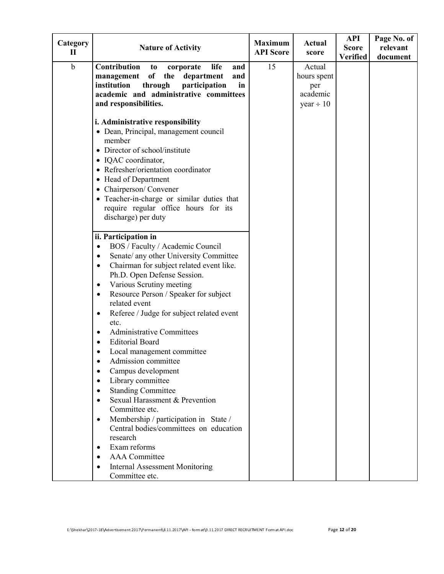| Category<br>П | <b>Nature of Activity</b>                                                                                                                                                                                                                                                                                                                                                                                                                                                                                                                                                                                                                                                                                                                                                                                                                                                                                                          | <b>Maximum</b><br><b>API</b> Score | Actual<br>score                                            | <b>API</b><br><b>Score</b><br><b>Verified</b> | Page No. of<br>relevant<br>document |
|---------------|------------------------------------------------------------------------------------------------------------------------------------------------------------------------------------------------------------------------------------------------------------------------------------------------------------------------------------------------------------------------------------------------------------------------------------------------------------------------------------------------------------------------------------------------------------------------------------------------------------------------------------------------------------------------------------------------------------------------------------------------------------------------------------------------------------------------------------------------------------------------------------------------------------------------------------|------------------------------------|------------------------------------------------------------|-----------------------------------------------|-------------------------------------|
| $\mathbf b$   | Contribution<br>life<br>and<br>to<br>corporate<br>of<br>the<br>management<br>department<br>and<br>institution<br>through<br>participation<br>in<br>academic and administrative committees<br>and responsibilities.                                                                                                                                                                                                                                                                                                                                                                                                                                                                                                                                                                                                                                                                                                                 | 15                                 | Actual<br>hours spent<br>per<br>academic<br>year $\div 10$ |                                               |                                     |
|               | i. Administrative responsibility<br>• Dean, Principal, management council<br>member<br>• Director of school/institute<br>• IQAC coordinator,<br>• Refresher/orientation coordinator<br>• Head of Department<br>Chairperson/Convener<br>$\bullet$<br>• Teacher-in-charge or similar duties that<br>require regular office hours for its<br>discharge) per duty                                                                                                                                                                                                                                                                                                                                                                                                                                                                                                                                                                      |                                    |                                                            |                                               |                                     |
|               | ii. Participation in<br>BOS / Faculty / Academic Council<br>$\bullet$<br>Senate/ any other University Committee<br>$\bullet$<br>Chairman for subject related event like.<br>$\bullet$<br>Ph.D. Open Defense Session.<br>Various Scrutiny meeting<br>$\bullet$<br>Resource Person / Speaker for subject<br>$\bullet$<br>related event<br>Referee / Judge for subject related event<br>$\bullet$<br>etc.<br><b>Administrative Committees</b><br>$\bullet$<br><b>Editorial Board</b><br>Local management committee<br>Admission committee<br>Campus development<br>c<br>Library committee<br><b>Standing Committee</b><br>$\bullet$<br>Sexual Harassment & Prevention<br>$\bullet$<br>Committee etc.<br>Membership / participation in State /<br>٠<br>Central bodies/committees on education<br>research<br>Exam reforms<br>$\bullet$<br><b>AAA</b> Committee<br>$\bullet$<br><b>Internal Assessment Monitoring</b><br>Committee etc. |                                    |                                                            |                                               |                                     |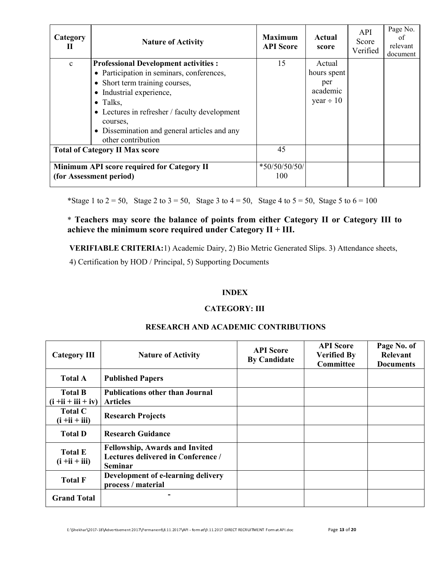| Category<br>П | <b>Nature of Activity</b>                                                                                                                                                                                                                                                                                     | <b>Maximum</b><br><b>API</b> Score | Actual<br>score                                            | API<br>Score<br>Verified | Page No.<br>of<br>relevant<br>document |
|---------------|---------------------------------------------------------------------------------------------------------------------------------------------------------------------------------------------------------------------------------------------------------------------------------------------------------------|------------------------------------|------------------------------------------------------------|--------------------------|----------------------------------------|
| $\mathbf{c}$  | <b>Professional Development activities:</b><br>• Participation in seminars, conferences,<br>• Short term training courses,<br>• Industrial experience,<br>$\bullet$ Talks,<br>• Lectures in refresher / faculty development<br>courses.<br>• Dissemination and general articles and any<br>other contribution | 15                                 | Actual<br>hours spent<br>per<br>academic<br>year $\div 10$ |                          |                                        |
|               | <b>Total of Category II Max score</b>                                                                                                                                                                                                                                                                         | 45                                 |                                                            |                          |                                        |
|               | Minimum API score required for Category II<br>(for Assessment period)                                                                                                                                                                                                                                         | $*50/50/50/50/$<br>100             |                                                            |                          |                                        |

\*Stage 1 to  $2 = 50$ , Stage 2 to  $3 = 50$ , Stage 3 to  $4 = 50$ , Stage 4 to  $5 = 50$ , Stage 5 to  $6 = 100$ 

# \* Teachers may score the balance of points from either Category II or Category III to achieve the minimum score required under Category  $II + III$ .

VERIFIABLE CRITERIA:1) Academic Dairy, 2) Bio Metric Generated Slips. 3) Attendance sheets,

4) Certification by HOD / Principal, 5) Supporting Documents

# INDEX

## CATEGORY: III

| <b>Category III</b>                     | <b>Nature of Activity</b>                                                                     | <b>API</b> Score<br><b>By Candidate</b> | <b>API</b> Score<br><b>Verified By</b><br>Committee | Page No. of<br>Relevant<br><b>Documents</b> |
|-----------------------------------------|-----------------------------------------------------------------------------------------------|-----------------------------------------|-----------------------------------------------------|---------------------------------------------|
| <b>Total A</b>                          | <b>Published Papers</b>                                                                       |                                         |                                                     |                                             |
| <b>Total B</b><br>$(i + ii + iii + iv)$ | <b>Publications other than Journal</b><br><b>Articles</b>                                     |                                         |                                                     |                                             |
| <b>Total C</b><br>$(i + ii + iii)$      | <b>Research Projects</b>                                                                      |                                         |                                                     |                                             |
| <b>Total D</b>                          | <b>Research Guidance</b>                                                                      |                                         |                                                     |                                             |
| <b>Total E</b><br>$(i + ii + iii)$      | <b>Fellowship, Awards and Invited</b><br>Lectures delivered in Conference /<br><b>Seminar</b> |                                         |                                                     |                                             |
| <b>Total F</b>                          | Development of e-learning delivery<br>process / material                                      |                                         |                                                     |                                             |
| <b>Grand Total</b>                      |                                                                                               |                                         |                                                     |                                             |

# RESEARCH AND ACADEMIC CONTRIBUTIONS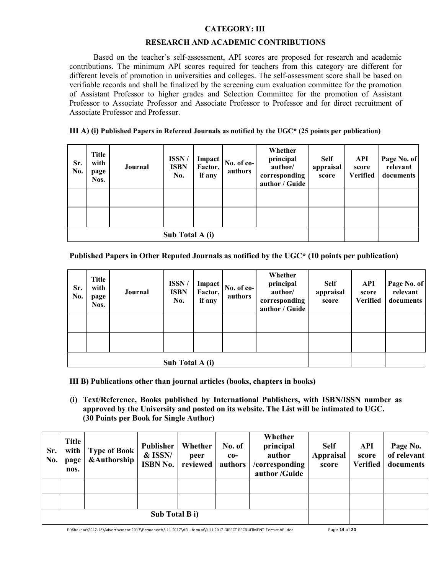## CATEGORY: III

#### RESEARCH AND ACADEMIC CONTRIBUTIONS

Based on the teacher's self-assessment, API scores are proposed for research and academic contributions. The minimum API scores required for teachers from this category are different for different levels of promotion in universities and colleges. The self-assessment score shall be based on verifiable records and shall be finalized by the screening cum evaluation committee for the promotion of Assistant Professor to higher grades and Selection Committee for the promotion of Assistant Professor to Associate Professor and Associate Professor to Professor and for direct recruitment of Associate Professor and Professor.

#### III A) (i) Published Papers in Refereed Journals as notified by the UGC\* (25 points per publication)

| Sr.<br>No. | <b>Title</b><br>with<br>page<br>Nos. | Journal         | ISSN/<br><b>ISBN</b><br>No. | Impact<br>Factor,<br>if any | No. of co-<br>authors | Whether<br>principal<br>author/<br>corresponding<br>author / Guide | <b>Self</b><br>appraisal<br>score | API<br>score<br><b>Verified</b> | Page No. of<br>relevant<br>documents |
|------------|--------------------------------------|-----------------|-----------------------------|-----------------------------|-----------------------|--------------------------------------------------------------------|-----------------------------------|---------------------------------|--------------------------------------|
|            |                                      |                 |                             |                             |                       |                                                                    |                                   |                                 |                                      |
|            |                                      |                 |                             |                             |                       |                                                                    |                                   |                                 |                                      |
|            |                                      | Sub Total A (i) |                             |                             |                       |                                                                    |                                   |                                 |                                      |

## Published Papers in Other Reputed Journals as notified by the UGC\* (10 points per publication)

| Sr.<br>No. | <b>Title</b><br>with<br>page<br>Nos. | Journal         | ISSN/<br><b>ISBN</b><br>No. | Impact<br>Factor,<br>if any | $No. of co-$<br>authors | Whether<br>principal<br>author/<br>corresponding<br>author / Guide | <b>Self</b><br>appraisal<br>score | API<br>score<br><b>Verified</b> | Page No. of<br>relevant<br>documents |
|------------|--------------------------------------|-----------------|-----------------------------|-----------------------------|-------------------------|--------------------------------------------------------------------|-----------------------------------|---------------------------------|--------------------------------------|
|            |                                      |                 |                             |                             |                         |                                                                    |                                   |                                 |                                      |
|            |                                      |                 |                             |                             |                         |                                                                    |                                   |                                 |                                      |
|            |                                      | Sub Total A (i) |                             |                             |                         |                                                                    |                                   |                                 |                                      |

III B) Publications other than journal articles (books, chapters in books)

(i) Text/Reference, Books published by International Publishers, with ISBN/ISSN number as approved by the University and posted on its website. The List will be intimated to UGC. (30 Points per Book for Single Author)

| Sr.<br>No. | <b>Title</b><br>with<br>page<br>nos. | <b>Type of Book</b><br><b>&amp;Authorship</b> | Publisher<br>& ISSN/<br><b>ISBN No.</b> | Whether<br>peer<br>reviewed | No. of<br>$co-$<br>authors | Whether<br>principal<br>author<br>/corresponding<br>author /Guide | <b>Self</b><br><b>Appraisal</b><br>score | <b>API</b><br>score<br><b>Verified</b> | Page No.<br>of relevant<br>documents |
|------------|--------------------------------------|-----------------------------------------------|-----------------------------------------|-----------------------------|----------------------------|-------------------------------------------------------------------|------------------------------------------|----------------------------------------|--------------------------------------|
|            |                                      |                                               |                                         |                             |                            |                                                                   |                                          |                                        |                                      |
|            |                                      |                                               |                                         |                             |                            |                                                                   |                                          |                                        |                                      |
|            |                                      |                                               |                                         |                             |                            |                                                                   |                                          |                                        |                                      |

E:\Shekhar\2017-18\Advertisement 2017\Permanent\8.11.2017\API - format\9.11.2017 DIRECT RECRUITMENT Format API.doc Page 14 of 20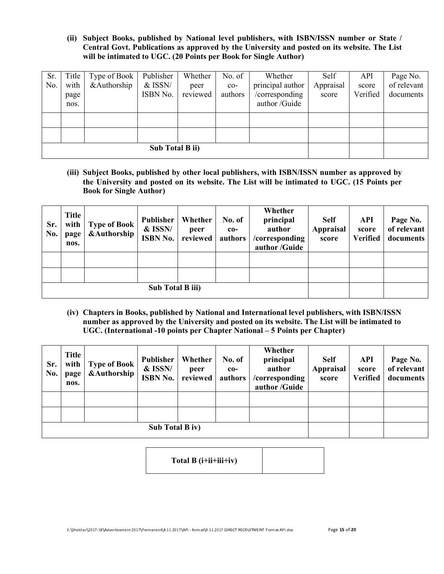(ii) Subject Books, published by National level publishers, with ISBN/ISSN number or State / Central Govt. Publications as approved by the University and posted on its website. The List will be intimated to UGC. (20 Points per Book for Single Author)

| Sr.<br>No. | Title<br>with<br>page<br>nos. | Type of Book<br>&Authorship | Publisher<br>$&$ ISSN/<br>ISBN No. | Whether<br>peer<br>reviewed | No. of<br>$co-$<br>authors | Whether<br>principal author<br>/corresponding<br>author/Guide | Self<br>Appraisal<br>score | API<br>score<br>Verified | Page No.<br>of relevant<br>documents |
|------------|-------------------------------|-----------------------------|------------------------------------|-----------------------------|----------------------------|---------------------------------------------------------------|----------------------------|--------------------------|--------------------------------------|
|            |                               |                             |                                    |                             |                            |                                                               |                            |                          |                                      |
|            |                               |                             |                                    |                             |                            |                                                               |                            |                          |                                      |
|            |                               |                             |                                    |                             |                            |                                                               |                            |                          |                                      |

(iii) Subject Books, published by other local publishers, with ISBN/ISSN number as approved by the University and posted on its website. The List will be intimated to UGC. (15 Points per Book for Single Author)

| Sr.<br>No. | <b>Title</b><br>with<br>page<br>nos. | <b>Type of Book</b><br><b>&amp;Authorship</b> | <b>Publisher</b><br>& ISSN/<br><b>ISBN No.</b> | Whether<br>peer<br>reviewed | No. of<br>$co-$<br>authors | Whether<br>principal<br>author<br>/corresponding<br>author /Guide | <b>Self</b><br><b>Appraisal</b><br>score | API<br>score<br>Verified | Page No.<br>of relevant<br>documents |
|------------|--------------------------------------|-----------------------------------------------|------------------------------------------------|-----------------------------|----------------------------|-------------------------------------------------------------------|------------------------------------------|--------------------------|--------------------------------------|
|            |                                      |                                               |                                                |                             |                            |                                                                   |                                          |                          |                                      |
|            |                                      |                                               |                                                |                             |                            |                                                                   |                                          |                          |                                      |
|            |                                      |                                               |                                                |                             |                            |                                                                   |                                          |                          |                                      |

(iv) Chapters in Books, published by National and International level publishers, with ISBN/ISSN number as approved by the University and posted on its website. The List will be intimated to UGC. (International -10 points per Chapter National – 5 Points per Chapter)

| Sr.<br>No. | <b>Title</b><br>with  <br>page<br>nos. | <b>Type of Book</b><br><b>&amp;Authorship</b> | Publisher<br>& ISSN/<br><b>ISBN No.</b> | Whether<br>peer<br>reviewed | No. of<br>$co-$<br>authors | Whether<br>principal<br>author<br>/corresponding<br>author /Guide | <b>Self</b><br><b>Appraisal</b><br>score | <b>API</b><br>score<br><b>Verified</b> | Page No.<br>of relevant<br>documents |
|------------|----------------------------------------|-----------------------------------------------|-----------------------------------------|-----------------------------|----------------------------|-------------------------------------------------------------------|------------------------------------------|----------------------------------------|--------------------------------------|
|            |                                        |                                               |                                         |                             |                            |                                                                   |                                          |                                        |                                      |
|            |                                        |                                               |                                         |                             |                            |                                                                   |                                          |                                        |                                      |
|            |                                        |                                               |                                         |                             |                            |                                                                   |                                          |                                        |                                      |

Total  $B$  (i+ii+iii+iv)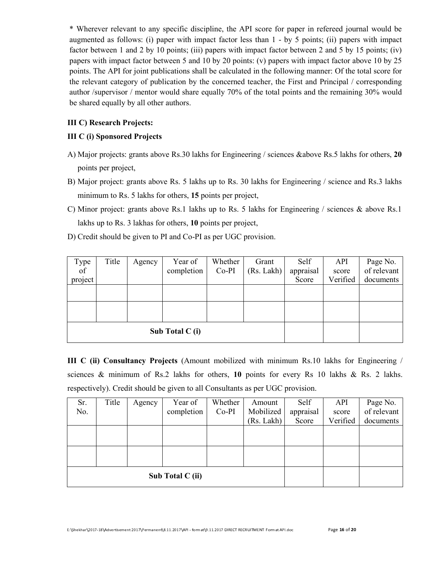\* Wherever relevant to any specific discipline, the API score for paper in refereed journal would be augmented as follows: (i) paper with impact factor less than 1 - by 5 points; (ii) papers with impact factor between 1 and 2 by 10 points; (iii) papers with impact factor between 2 and 5 by 15 points; (iv) papers with impact factor between 5 and 10 by 20 points: (v) papers with impact factor above 10 by 25 points. The API for joint publications shall be calculated in the following manner: Of the total score for the relevant category of publication by the concerned teacher, the First and Principal / corresponding author /supervisor / mentor would share equally 70% of the total points and the remaining 30% would be shared equally by all other authors.

# III C) Research Projects:

# III C (i) Sponsored Projects

- A) Major projects: grants above Rs.30 lakhs for Engineering / sciences &above Rs.5 lakhs for others, 20 points per project,
- B) Major project: grants above Rs. 5 lakhs up to Rs. 30 lakhs for Engineering / science and Rs.3 lakhs minimum to Rs. 5 lakhs for others, 15 points per project,
- C) Minor project: grants above Rs.1 lakhs up to Rs. 5 lakhs for Engineering / sciences & above Rs.1 lakhs up to Rs. 3 lakhas for others, 10 points per project,
- D) Credit should be given to PI and Co-PI as per UGC provision.

| Type<br>$\overline{of}$ | Title | Agency | Year of<br>completion | Whether<br>Co-PI | Grant<br>(Rs. Lakh) | Self<br>appraisal | <b>API</b><br>score | Page No.<br>of relevant |
|-------------------------|-------|--------|-----------------------|------------------|---------------------|-------------------|---------------------|-------------------------|
| project                 |       |        |                       |                  |                     | Score             | Verified            | documents               |
|                         |       |        |                       |                  |                     |                   |                     |                         |
|                         |       |        |                       |                  |                     |                   |                     |                         |
|                         |       |        |                       |                  |                     |                   |                     |                         |
|                         |       |        |                       |                  |                     |                   |                     |                         |
| Sub Total C (i)         |       |        |                       |                  |                     |                   |                     |                         |

III C (ii) Consultancy Projects (Amount mobilized with minimum Rs.10 lakhs for Engineering / sciences & minimum of Rs.2 lakhs for others, 10 points for every Rs 10 lakhs & Rs. 2 lakhs. respectively). Credit should be given to all Consultants as per UGC provision.

| Sr. | Title | Agency           | Year of    | Whether | Amount     | Self      | API      | Page No.    |
|-----|-------|------------------|------------|---------|------------|-----------|----------|-------------|
| No. |       |                  | completion | $Co-PI$ | Mobilized  | appraisal | score    | of relevant |
|     |       |                  |            |         | (Rs. Lakh) | Score     | Verified | documents   |
|     |       |                  |            |         |            |           |          |             |
|     |       |                  |            |         |            |           |          |             |
|     |       |                  |            |         |            |           |          |             |
|     |       |                  |            |         |            |           |          |             |
|     |       | Sub Total C (ii) |            |         |            |           |          |             |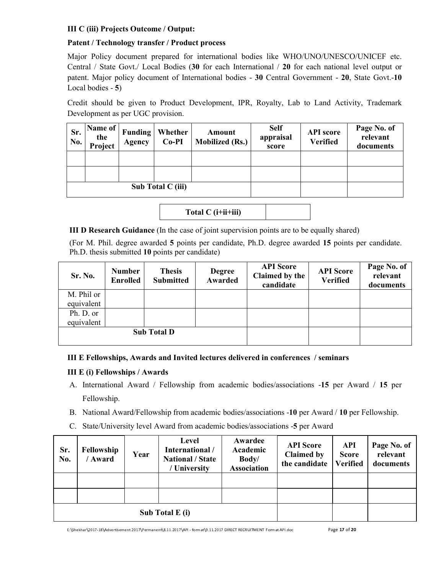# III C (iii) Projects Outcome / Output:

# Patent / Technology transfer / Product process

Major Policy document prepared for international bodies like WHO/UNO/UNESCO/UNICEF etc. Central / State Govt./ Local Bodies (30 for each International / 20 for each national level output or patent. Major policy document of International bodies - 30 Central Government - 20, State Govt.-10 Local bodies - 5)

Credit should be given to Product Development, IPR, Royalty, Lab to Land Activity, Trademark Development as per UGC provision.

| Sr.<br>No. | Name of<br>the<br>Project | <b>Funding</b><br>Agency | Whether<br>$Co-PI$ | Amount<br><b>Mobilized (Rs.)</b> | <b>Self</b><br>appraisal<br>score | <b>API</b> score<br><b>Verified</b> | Page No. of<br>relevant<br>documents |
|------------|---------------------------|--------------------------|--------------------|----------------------------------|-----------------------------------|-------------------------------------|--------------------------------------|
|            |                           |                          |                    |                                  |                                   |                                     |                                      |
|            |                           |                          |                    |                                  |                                   |                                     |                                      |
|            | Sub Total C (iii)         |                          |                    |                                  |                                   |                                     |                                      |

Total  $C$  ( $i$ +i $i$ +iii)

III D Research Guidance (In the case of joint supervision points are to be equally shared)

(For M. Phil. degree awarded 5 points per candidate, Ph.D. degree awarded 15 points per candidate. Ph.D. thesis submitted 10 points per candidate)

| Sr. No.    | <b>Number</b><br><b>Enrolled</b> | <b>Thesis</b><br><b>Submitted</b> | <b>Degree</b><br><b>Awarded</b> | <b>API</b> Score<br>Claimed by the<br>candidate | <b>API</b> Score<br><b>Verified</b> | Page No. of<br>relevant<br>documents |
|------------|----------------------------------|-----------------------------------|---------------------------------|-------------------------------------------------|-------------------------------------|--------------------------------------|
| M. Phil or |                                  |                                   |                                 |                                                 |                                     |                                      |
| equivalent |                                  |                                   |                                 |                                                 |                                     |                                      |
| Ph. D. or  |                                  |                                   |                                 |                                                 |                                     |                                      |
| equivalent |                                  |                                   |                                 |                                                 |                                     |                                      |
|            |                                  | <b>Sub Total D</b>                |                                 |                                                 |                                     |                                      |

# III E Fellowships, Awards and Invited lectures delivered in conferences / seminars

# III E (i) Fellowships / Awards

- A. International Award / Fellowship from academic bodies/associations -15 per Award / 15 per Fellowship.
- B. National Award/Fellowship from academic bodies/associations -10 per Award / 10 per Fellowship.
- C. State/University level Award from academic bodies/associations -5 per Award

| Sr.<br>No. | Fellowship<br>/ Award | Year            | Level<br>International /<br><b>National / State</b><br>/ University | Awardee<br>Academic<br>Body/<br><b>Association</b> | <b>API</b> Score<br><b>Claimed by</b><br>the candidate | API<br><b>Score</b><br><b>Verified</b> | Page No. of<br>relevant<br>documents |
|------------|-----------------------|-----------------|---------------------------------------------------------------------|----------------------------------------------------|--------------------------------------------------------|----------------------------------------|--------------------------------------|
|            |                       |                 |                                                                     |                                                    |                                                        |                                        |                                      |
|            |                       |                 |                                                                     |                                                    |                                                        |                                        |                                      |
|            |                       | Sub Total E (i) |                                                                     |                                                    |                                                        |                                        |                                      |

E:\Shekhar\2017-18\Advertisement 2017\Permanent\8.11.2017\API - format\9.11.2017 DIRECT RECRUITMENT Format API.doc Page 17 of 20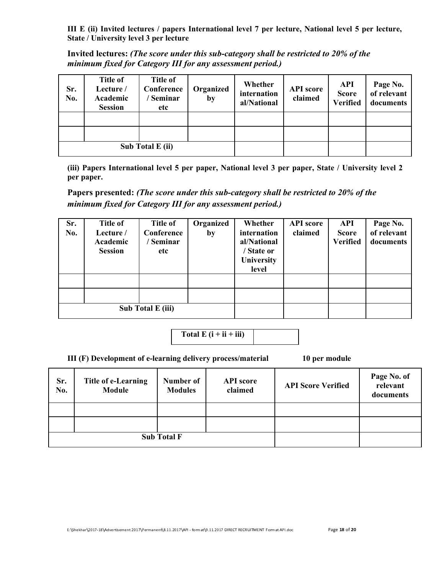III E (ii) Invited lectures / papers International level 7 per lecture, National level 5 per lecture, State / University level 3 per lecture

Invited lectures: (The score under this sub-category shall be restricted to 20% of the minimum fixed for Category III for any assessment period.)

| Sr.<br>No. | <b>Title of</b><br>Lecture /<br>Academic<br><b>Session</b> | <b>Title of</b><br>Conference<br><b>Seminar</b><br>etc | Organized<br>by | Whether<br>internation<br>al/National | <b>API</b> score<br>claimed | <b>API</b><br><b>Score</b><br><b>Verified</b> | Page No.<br>of relevant<br>documents |
|------------|------------------------------------------------------------|--------------------------------------------------------|-----------------|---------------------------------------|-----------------------------|-----------------------------------------------|--------------------------------------|
|            |                                                            |                                                        |                 |                                       |                             |                                               |                                      |
|            |                                                            |                                                        |                 |                                       |                             |                                               |                                      |
|            |                                                            | Sub Total E (ii)                                       |                 |                                       |                             |                                               |                                      |

(iii) Papers International level 5 per paper, National level 3 per paper, State / University level 2 per paper.

Papers presented: (The score under this sub-category shall be restricted to 20% of the minimum fixed for Category III for any assessment period.)

| Sr. | <b>Title of</b> | <b>Title of</b>   | Organized | Whether     | <b>API</b> score | API             | Page No.    |
|-----|-----------------|-------------------|-----------|-------------|------------------|-----------------|-------------|
| No. | Lecture /       | Conference        | by        | internation | claimed          | <b>Score</b>    | of relevant |
|     | Academic        | Seminar           |           | al/National |                  | <b>Verified</b> | documents   |
|     | <b>Session</b>  | etc               |           | / State or  |                  |                 |             |
|     |                 |                   |           | University  |                  |                 |             |
|     |                 |                   |           | level       |                  |                 |             |
|     |                 |                   |           |             |                  |                 |             |
|     |                 |                   |           |             |                  |                 |             |
|     |                 |                   |           |             |                  |                 |             |
|     |                 | Sub Total E (iii) |           |             |                  |                 |             |

Total  $E(i + ii + iii)$ 

III (F) Development of e-learning delivery process/material 10 per module

| Sr.<br>No. | Title of e-Learning<br>Module | Number of<br><b>Modules</b> | <b>API</b> score<br>claimed | <b>API Score Verified</b> | Page No. of<br>relevant<br>documents |
|------------|-------------------------------|-----------------------------|-----------------------------|---------------------------|--------------------------------------|
|            |                               |                             |                             |                           |                                      |
|            |                               |                             |                             |                           |                                      |
|            |                               | <b>Sub Total F</b>          |                             |                           |                                      |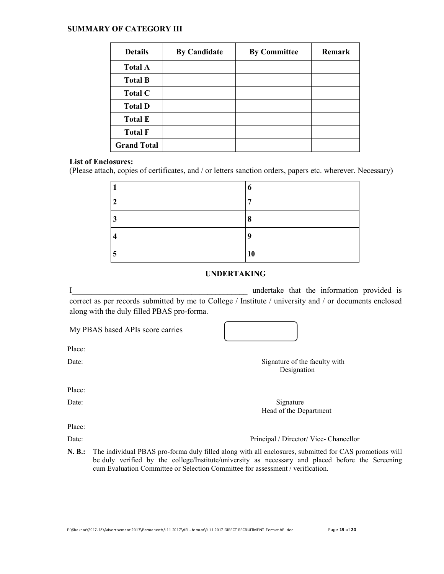#### SUMMARY OF CATEGORY III

| <b>Details</b>     | <b>By Candidate</b> | <b>By Committee</b> | <b>Remark</b> |
|--------------------|---------------------|---------------------|---------------|
| <b>Total A</b>     |                     |                     |               |
| <b>Total B</b>     |                     |                     |               |
| <b>Total C</b>     |                     |                     |               |
| <b>Total D</b>     |                     |                     |               |
| <b>Total E</b>     |                     |                     |               |
| <b>Total F</b>     |                     |                     |               |
| <b>Grand Total</b> |                     |                     |               |

#### List of Enclosures:

(Please attach, copies of certificates, and / or letters sanction orders, papers etc. wherever. Necessary)

|   | o  |
|---|----|
| 2 | −  |
| 3 | 8  |
| 4 | Q  |
| 5 | 10 |

## UNDERTAKING

I undertake that the information provided is correct as per records submitted by me to College / Institute / university and / or documents enclosed along with the duly filled PBAS pro-forma.

My PBAS based APIs score carries

Date: Signature of the faculty with Designation

Place:

Place:

Date: Signature Signature Head of the Department

Place:

Date: Principal / Director/ Vice- Chancellor

N. B.: The individual PBAS pro-forma duly filled along with all enclosures, submitted for CAS promotions will be duly verified by the college/Institute/university as necessary and placed before the Screening cum Evaluation Committee or Selection Committee for assessment / verification.